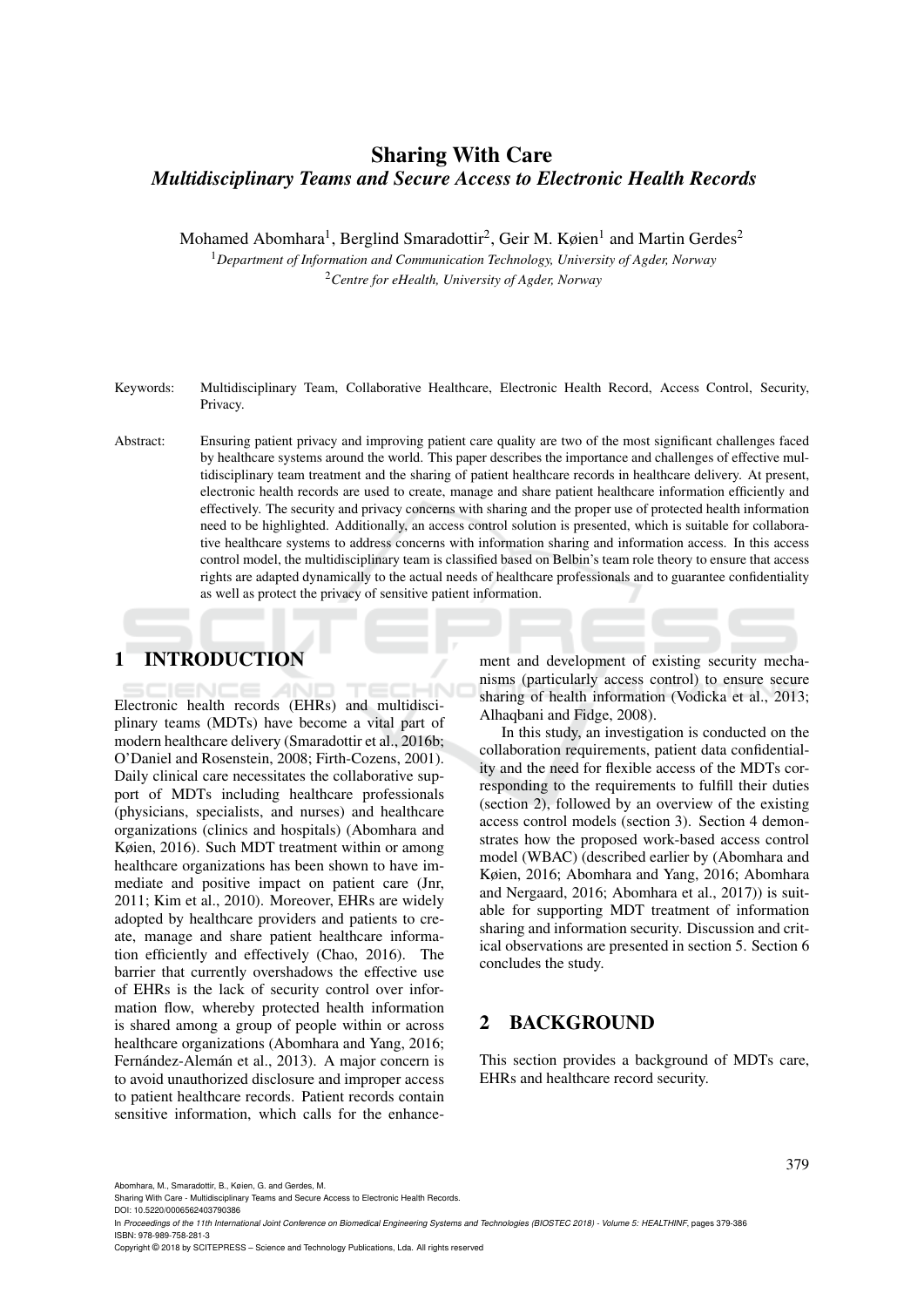## Sharing With Care *Multidisciplinary Teams and Secure Access to Electronic Health Records*

Mohamed Abomhara<sup>1</sup>, Berglind Smaradottir<sup>2</sup>, Geir M. Køien<sup>1</sup> and Martin Gerdes<sup>2</sup>

<sup>1</sup>*Department of Information and Communication Technology, University of Agder, Norway* <sup>2</sup>*Centre for eHealth, University of Agder, Norway*

Keywords: Multidisciplinary Team, Collaborative Healthcare, Electronic Health Record, Access Control, Security, Privacy.

Abstract: Ensuring patient privacy and improving patient care quality are two of the most significant challenges faced by healthcare systems around the world. This paper describes the importance and challenges of effective multidisciplinary team treatment and the sharing of patient healthcare records in healthcare delivery. At present, electronic health records are used to create, manage and share patient healthcare information efficiently and effectively. The security and privacy concerns with sharing and the proper use of protected health information need to be highlighted. Additionally, an access control solution is presented, which is suitable for collaborative healthcare systems to address concerns with information sharing and information access. In this access control model, the multidisciplinary team is classified based on Belbin's team role theory to ensure that access rights are adapted dynamically to the actual needs of healthcare professionals and to guarantee confidentiality as well as protect the privacy of sensitive patient information.

# 1 INTRODUCTION

Electronic health records (EHRs) and multidisciplinary teams (MDTs) have become a vital part of modern healthcare delivery (Smaradottir et al., 2016b; O'Daniel and Rosenstein, 2008; Firth-Cozens, 2001). Daily clinical care necessitates the collaborative support of MDTs including healthcare professionals (physicians, specialists, and nurses) and healthcare organizations (clinics and hospitals) (Abomhara and Køien, 2016). Such MDT treatment within or among healthcare organizations has been shown to have immediate and positive impact on patient care (Jnr, 2011; Kim et al., 2010). Moreover, EHRs are widely adopted by healthcare providers and patients to create, manage and share patient healthcare information efficiently and effectively (Chao, 2016). The barrier that currently overshadows the effective use of EHRs is the lack of security control over information flow, whereby protected health information is shared among a group of people within or across healthcare organizations (Abomhara and Yang, 2016; Fernández-Alemán et al., 2013). A major concern is to avoid unauthorized disclosure and improper access to patient healthcare records. Patient records contain sensitive information, which calls for the enhance-

ment and development of existing security mechanisms (particularly access control) to ensure secure sharing of health information (Vodicka et al., 2013; Alhaqbani and Fidge, 2008).

In this study, an investigation is conducted on the collaboration requirements, patient data confidentiality and the need for flexible access of the MDTs corresponding to the requirements to fulfill their duties (section 2), followed by an overview of the existing access control models (section 3). Section 4 demonstrates how the proposed work-based access control model (WBAC) (described earlier by (Abomhara and Køien, 2016; Abomhara and Yang, 2016; Abomhara and Nergaard, 2016; Abomhara et al., 2017)) is suitable for supporting MDT treatment of information sharing and information security. Discussion and critical observations are presented in section 5. Section 6 concludes the study.

### 2 BACKGROUND

This section provides a background of MDTs care, EHRs and healthcare record security.

Abomhara, M., Smaradottir, B., Køien, G. and Gerdes, M.

Sharing With Care - Multidisciplinary Teams and Secure Access to Electronic Health Records.

DOI: 10.5220/0006562403790386

In *Proceedings of the 11th International Joint Conference on Biomedical Engineering Systems and Technologies (BIOSTEC 2018) - Volume 5: HEALTHINF*, pages 379-386 ISBN: 978-989-758-281-3

Copyright © 2018 by SCITEPRESS – Science and Technology Publications, Lda. All rights reserved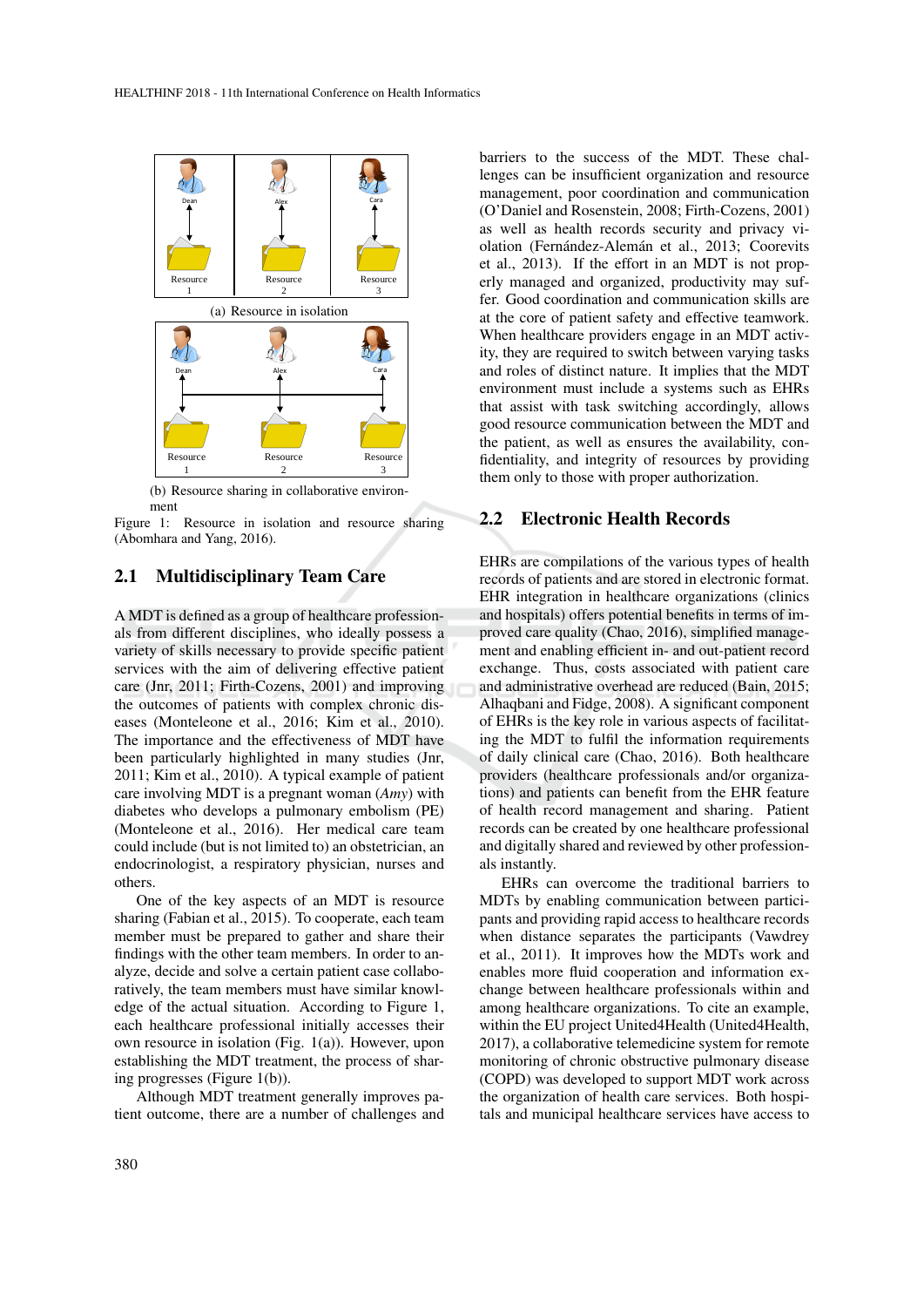

(b) Resource sharing in collaborative environment

Figure 1: Resource in isolation and resource sharing (Abomhara and Yang, 2016).

### 2.1 Multidisciplinary Team Care

A MDT is defined as a group of healthcare professionals from different disciplines, who ideally possess a variety of skills necessary to provide specific patient services with the aim of delivering effective patient care (Jnr, 2011; Firth-Cozens, 2001) and improving the outcomes of patients with complex chronic diseases (Monteleone et al., 2016; Kim et al., 2010). The importance and the effectiveness of MDT have been particularly highlighted in many studies (Jnr, 2011; Kim et al., 2010). A typical example of patient care involving MDT is a pregnant woman (*Amy*) with diabetes who develops a pulmonary embolism (PE) (Monteleone et al., 2016). Her medical care team could include (but is not limited to) an obstetrician, an endocrinologist, a respiratory physician, nurses and others.

One of the key aspects of an MDT is resource sharing (Fabian et al., 2015). To cooperate, each team member must be prepared to gather and share their findings with the other team members. In order to analyze, decide and solve a certain patient case collaboratively, the team members must have similar knowledge of the actual situation. According to Figure 1, each healthcare professional initially accesses their own resource in isolation (Fig. 1(a)). However, upon establishing the MDT treatment, the process of sharing progresses (Figure 1(b)).

Although MDT treatment generally improves patient outcome, there are a number of challenges and

barriers to the success of the MDT. These challenges can be insufficient organization and resource management, poor coordination and communication (O'Daniel and Rosenstein, 2008; Firth-Cozens, 2001) as well as health records security and privacy violation (Fernández-Alemán et al., 2013; Coorevits et al., 2013). If the effort in an MDT is not properly managed and organized, productivity may suffer. Good coordination and communication skills are at the core of patient safety and effective teamwork. When healthcare providers engage in an MDT activity, they are required to switch between varying tasks and roles of distinct nature. It implies that the MDT environment must include a systems such as EHRs that assist with task switching accordingly, allows good resource communication between the MDT and the patient, as well as ensures the availability, confidentiality, and integrity of resources by providing them only to those with proper authorization.

### 2.2 Electronic Health Records

EHRs are compilations of the various types of health records of patients and are stored in electronic format. EHR integration in healthcare organizations (clinics and hospitals) offers potential benefits in terms of improved care quality (Chao, 2016), simplified management and enabling efficient in- and out-patient record exchange. Thus, costs associated with patient care and administrative overhead are reduced (Bain, 2015; Alhaqbani and Fidge, 2008). A significant component of EHRs is the key role in various aspects of facilitating the MDT to fulfil the information requirements of daily clinical care (Chao, 2016). Both healthcare providers (healthcare professionals and/or organizations) and patients can benefit from the EHR feature of health record management and sharing. Patient records can be created by one healthcare professional and digitally shared and reviewed by other professionals instantly.

EHRs can overcome the traditional barriers to MDTs by enabling communication between participants and providing rapid access to healthcare records when distance separates the participants (Vawdrey et al., 2011). It improves how the MDTs work and enables more fluid cooperation and information exchange between healthcare professionals within and among healthcare organizations. To cite an example, within the EU project United4Health (United4Health, 2017), a collaborative telemedicine system for remote monitoring of chronic obstructive pulmonary disease (COPD) was developed to support MDT work across the organization of health care services. Both hospitals and municipal healthcare services have access to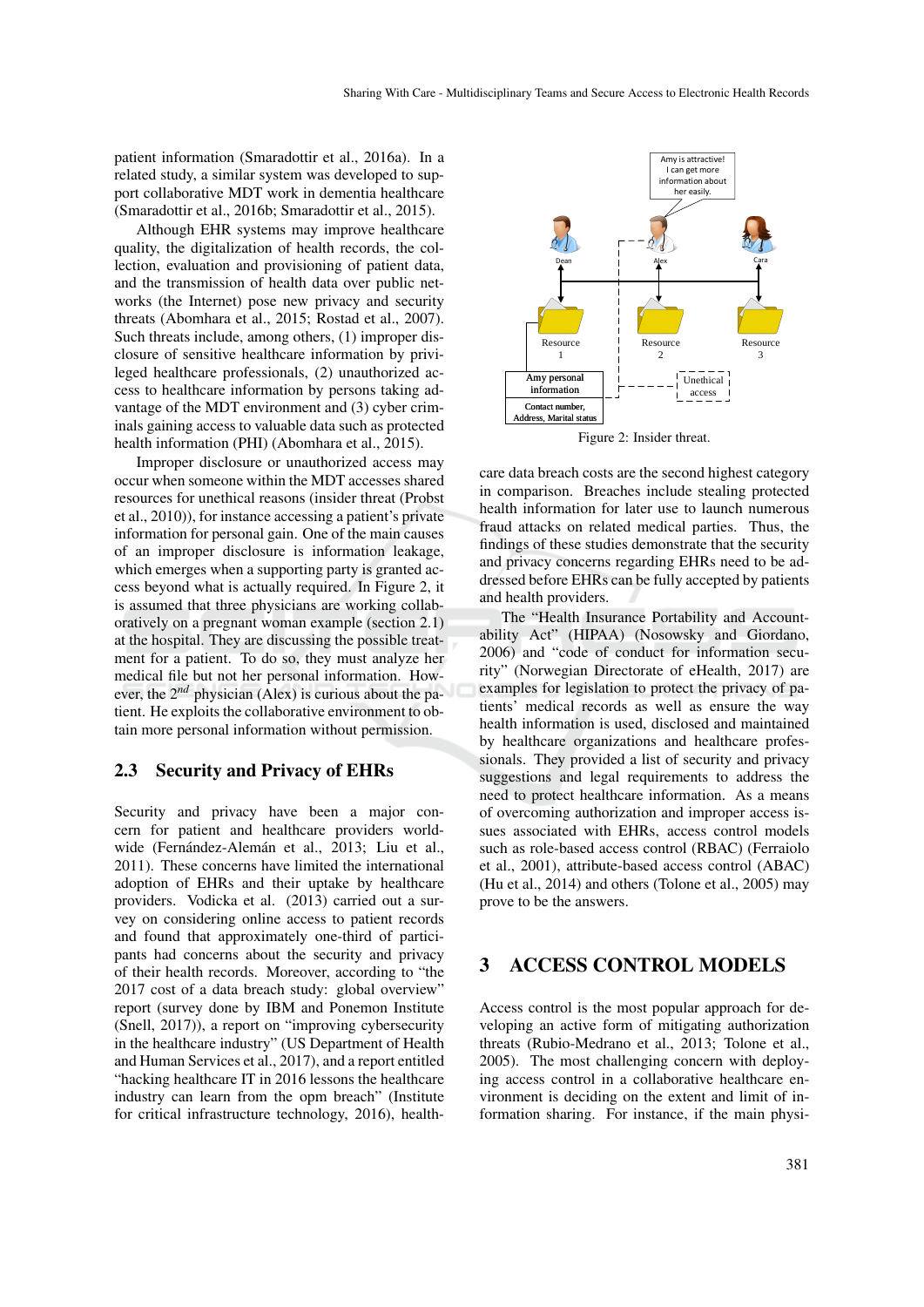patient information (Smaradottir et al., 2016a). In a related study, a similar system was developed to support collaborative MDT work in dementia healthcare (Smaradottir et al., 2016b; Smaradottir et al., 2015).

Although EHR systems may improve healthcare quality, the digitalization of health records, the collection, evaluation and provisioning of patient data, and the transmission of health data over public networks (the Internet) pose new privacy and security threats (Abomhara et al., 2015; Rostad et al., 2007). Such threats include, among others, (1) improper disclosure of sensitive healthcare information by privileged healthcare professionals, (2) unauthorized access to healthcare information by persons taking advantage of the MDT environment and (3) cyber criminals gaining access to valuable data such as protected health information (PHI) (Abomhara et al., 2015).

Improper disclosure or unauthorized access may occur when someone within the MDT accesses shared resources for unethical reasons (insider threat (Probst et al., 2010)), for instance accessing a patient's private information for personal gain. One of the main causes of an improper disclosure is information leakage, which emerges when a supporting party is granted access beyond what is actually required. In Figure 2, it is assumed that three physicians are working collaboratively on a pregnant woman example (section 2.1) at the hospital. They are discussing the possible treatment for a patient. To do so, they must analyze her medical file but not her personal information. However, the 2*nd* physician (Alex) is curious about the patient. He exploits the collaborative environment to obtain more personal information without permission.

#### 2.3 Security and Privacy of EHRs

Security and privacy have been a major concern for patient and healthcare providers worldwide (Fernández-Alemán et al., 2013; Liu et al., 2011). These concerns have limited the international adoption of EHRs and their uptake by healthcare providers. Vodicka et al. (2013) carried out a survey on considering online access to patient records and found that approximately one-third of participants had concerns about the security and privacy of their health records. Moreover, according to "the 2017 cost of a data breach study: global overview" report (survey done by IBM and Ponemon Institute (Snell, 2017)), a report on "improving cybersecurity in the healthcare industry" (US Department of Health and Human Services et al., 2017), and a report entitled "hacking healthcare IT in 2016 lessons the healthcare industry can learn from the opm breach" (Institute for critical infrastructure technology, 2016), health-



Figure 2: Insider threat.

care data breach costs are the second highest category in comparison. Breaches include stealing protected health information for later use to launch numerous fraud attacks on related medical parties. Thus, the findings of these studies demonstrate that the security and privacy concerns regarding EHRs need to be addressed before EHRs can be fully accepted by patients and health providers.

The "Health Insurance Portability and Accountability Act" (HIPAA) (Nosowsky and Giordano, 2006) and "code of conduct for information security" (Norwegian Directorate of eHealth, 2017) are examples for legislation to protect the privacy of patients' medical records as well as ensure the way health information is used, disclosed and maintained by healthcare organizations and healthcare professionals. They provided a list of security and privacy suggestions and legal requirements to address the need to protect healthcare information. As a means of overcoming authorization and improper access issues associated with EHRs, access control models such as role-based access control (RBAC) (Ferraiolo et al., 2001), attribute-based access control (ABAC) (Hu et al., 2014) and others (Tolone et al., 2005) may prove to be the answers.

### 3 ACCESS CONTROL MODELS

Access control is the most popular approach for developing an active form of mitigating authorization threats (Rubio-Medrano et al., 2013; Tolone et al., 2005). The most challenging concern with deploying access control in a collaborative healthcare environment is deciding on the extent and limit of information sharing. For instance, if the main physi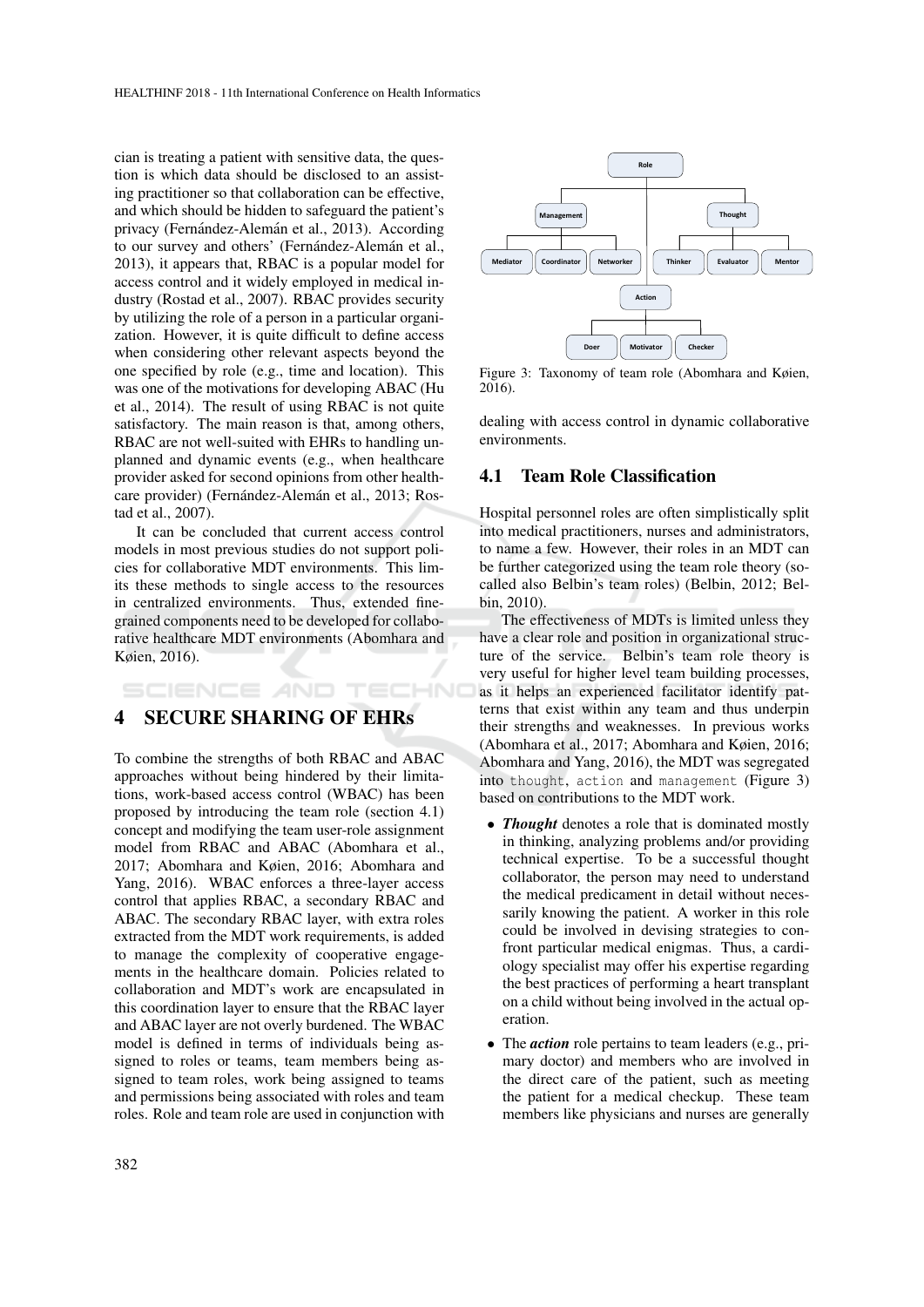cian is treating a patient with sensitive data, the question is which data should be disclosed to an assisting practitioner so that collaboration can be effective, and which should be hidden to safeguard the patient's privacy (Fernández-Alemán et al., 2013). According to our survey and others' (Fernández-Alemán et al., 2013), it appears that, RBAC is a popular model for access control and it widely employed in medical industry (Rostad et al., 2007). RBAC provides security by utilizing the role of a person in a particular organization. However, it is quite difficult to define access when considering other relevant aspects beyond the one specified by role (e.g., time and location). This was one of the motivations for developing ABAC (Hu et al., 2014). The result of using RBAC is not quite satisfactory. The main reason is that, among others, RBAC are not well-suited with EHRs to handling unplanned and dynamic events (e.g., when healthcare provider asked for second opinions from other healthcare provider) (Fernández-Alemán et al., 2013; Rostad et al., 2007).

It can be concluded that current access control models in most previous studies do not support policies for collaborative MDT environments. This limits these methods to single access to the resources in centralized environments. Thus, extended finegrained components need to be developed for collaborative healthcare MDT environments (Abomhara and Køien, 2016).

## SCIENCE AND TECHNO 4 SECURE SHARING OF EHRs

To combine the strengths of both RBAC and ABAC approaches without being hindered by their limitations, work-based access control (WBAC) has been proposed by introducing the team role (section 4.1) concept and modifying the team user-role assignment model from RBAC and ABAC (Abomhara et al., 2017; Abomhara and Køien, 2016; Abomhara and Yang, 2016). WBAC enforces a three-layer access control that applies RBAC, a secondary RBAC and ABAC. The secondary RBAC layer, with extra roles extracted from the MDT work requirements, is added to manage the complexity of cooperative engagements in the healthcare domain. Policies related to collaboration and MDT's work are encapsulated in this coordination layer to ensure that the RBAC layer and ABAC layer are not overly burdened. The WBAC model is defined in terms of individuals being assigned to roles or teams, team members being assigned to team roles, work being assigned to teams and permissions being associated with roles and team roles. Role and team role are used in conjunction with



Figure 3: Taxonomy of team role (Abomhara and Køien, 2016).

dealing with access control in dynamic collaborative environments.

#### 4.1 Team Role Classification

Hospital personnel roles are often simplistically split into medical practitioners, nurses and administrators, to name a few. However, their roles in an MDT can be further categorized using the team role theory (socalled also Belbin's team roles) (Belbin, 2012; Belbin, 2010).

The effectiveness of MDTs is limited unless they have a clear role and position in organizational structure of the service. Belbin's team role theory is very useful for higher level team building processes, as it helps an experienced facilitator identify patterns that exist within any team and thus underpin their strengths and weaknesses. In previous works (Abomhara et al., 2017; Abomhara and Køien, 2016; Abomhara and Yang, 2016), the MDT was segregated into thought, action and management (Figure 3) based on contributions to the MDT work.

- *Thought* denotes a role that is dominated mostly in thinking, analyzing problems and/or providing technical expertise. To be a successful thought collaborator, the person may need to understand the medical predicament in detail without necessarily knowing the patient. A worker in this role could be involved in devising strategies to confront particular medical enigmas. Thus, a cardiology specialist may offer his expertise regarding the best practices of performing a heart transplant on a child without being involved in the actual operation.
- The *action* role pertains to team leaders (e.g., primary doctor) and members who are involved in the direct care of the patient, such as meeting the patient for a medical checkup. These team members like physicians and nurses are generally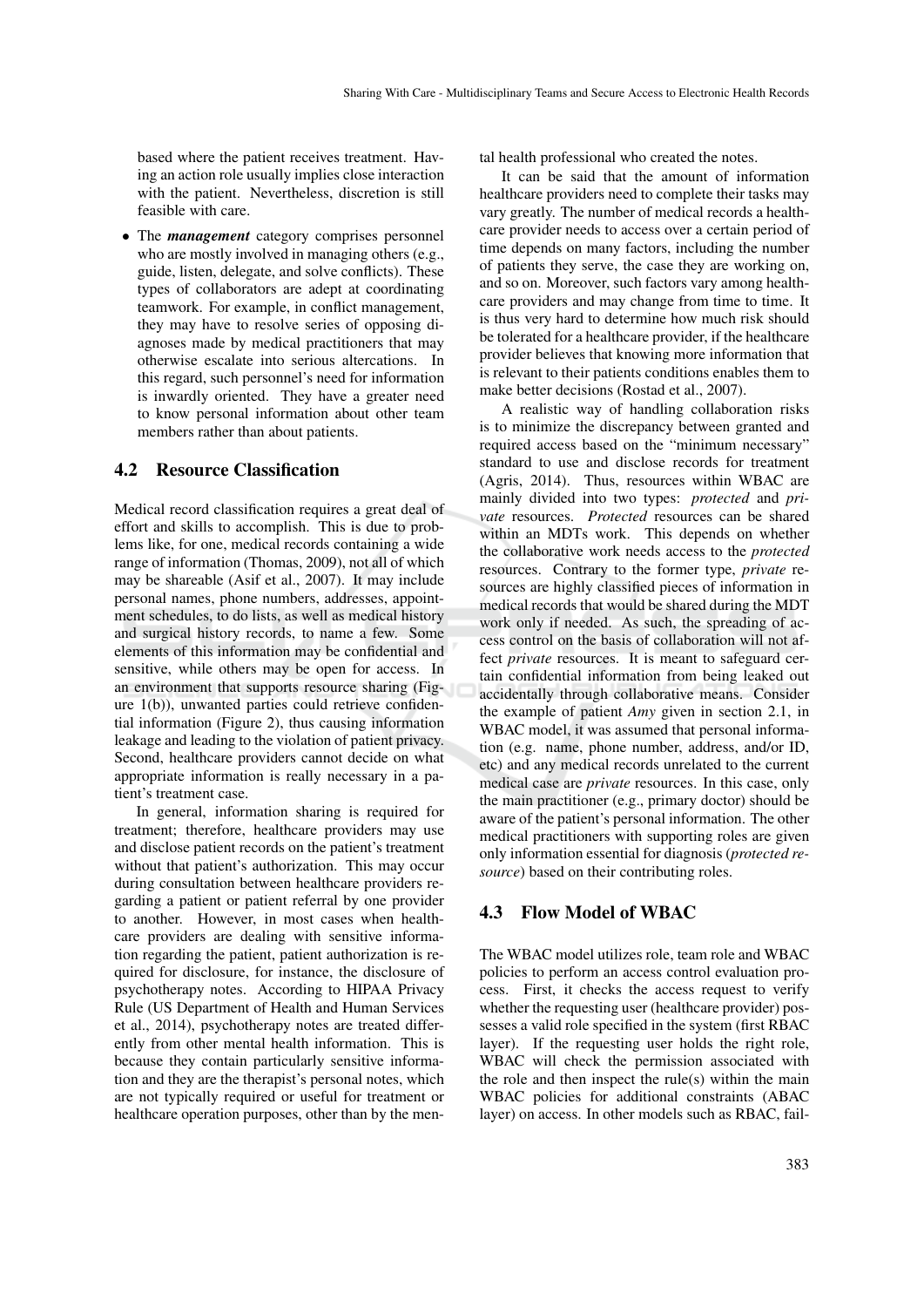based where the patient receives treatment. Having an action role usually implies close interaction with the patient. Nevertheless, discretion is still feasible with care.

• The *management* category comprises personnel who are mostly involved in managing others (e.g., guide, listen, delegate, and solve conflicts). These types of collaborators are adept at coordinating teamwork. For example, in conflict management, they may have to resolve series of opposing diagnoses made by medical practitioners that may otherwise escalate into serious altercations. In this regard, such personnel's need for information is inwardly oriented. They have a greater need to know personal information about other team members rather than about patients.

### 4.2 Resource Classification

Medical record classification requires a great deal of effort and skills to accomplish. This is due to problems like, for one, medical records containing a wide range of information (Thomas, 2009), not all of which may be shareable (Asif et al., 2007). It may include personal names, phone numbers, addresses, appointment schedules, to do lists, as well as medical history and surgical history records, to name a few. Some elements of this information may be confidential and sensitive, while others may be open for access. In an environment that supports resource sharing (Figure 1(b)), unwanted parties could retrieve confidential information (Figure 2), thus causing information leakage and leading to the violation of patient privacy. Second, healthcare providers cannot decide on what appropriate information is really necessary in a patient's treatment case.

In general, information sharing is required for treatment; therefore, healthcare providers may use and disclose patient records on the patient's treatment without that patient's authorization. This may occur during consultation between healthcare providers regarding a patient or patient referral by one provider to another. However, in most cases when healthcare providers are dealing with sensitive information regarding the patient, patient authorization is required for disclosure, for instance, the disclosure of psychotherapy notes. According to HIPAA Privacy Rule (US Department of Health and Human Services et al., 2014), psychotherapy notes are treated differently from other mental health information. This is because they contain particularly sensitive information and they are the therapist's personal notes, which are not typically required or useful for treatment or healthcare operation purposes, other than by the mental health professional who created the notes.

It can be said that the amount of information healthcare providers need to complete their tasks may vary greatly. The number of medical records a healthcare provider needs to access over a certain period of time depends on many factors, including the number of patients they serve, the case they are working on, and so on. Moreover, such factors vary among healthcare providers and may change from time to time. It is thus very hard to determine how much risk should be tolerated for a healthcare provider, if the healthcare provider believes that knowing more information that is relevant to their patients conditions enables them to make better decisions (Rostad et al., 2007).

A realistic way of handling collaboration risks is to minimize the discrepancy between granted and required access based on the "minimum necessary" standard to use and disclose records for treatment (Agris, 2014). Thus, resources within WBAC are mainly divided into two types: *protected* and *private* resources. *Protected* resources can be shared within an MDTs work. This depends on whether the collaborative work needs access to the *protected* resources. Contrary to the former type, *private* resources are highly classified pieces of information in medical records that would be shared during the MDT work only if needed. As such, the spreading of access control on the basis of collaboration will not affect *private* resources. It is meant to safeguard certain confidential information from being leaked out accidentally through collaborative means. Consider the example of patient *Amy* given in section 2.1, in WBAC model, it was assumed that personal information (e.g. name, phone number, address, and/or ID, etc) and any medical records unrelated to the current medical case are *private* resources. In this case, only the main practitioner (e.g., primary doctor) should be aware of the patient's personal information. The other medical practitioners with supporting roles are given only information essential for diagnosis (*protected resource*) based on their contributing roles.

### 4.3 Flow Model of WBAC

The WBAC model utilizes role, team role and WBAC policies to perform an access control evaluation process. First, it checks the access request to verify whether the requesting user (healthcare provider) possesses a valid role specified in the system (first RBAC layer). If the requesting user holds the right role, WBAC will check the permission associated with the role and then inspect the rule(s) within the main WBAC policies for additional constraints (ABAC layer) on access. In other models such as RBAC, fail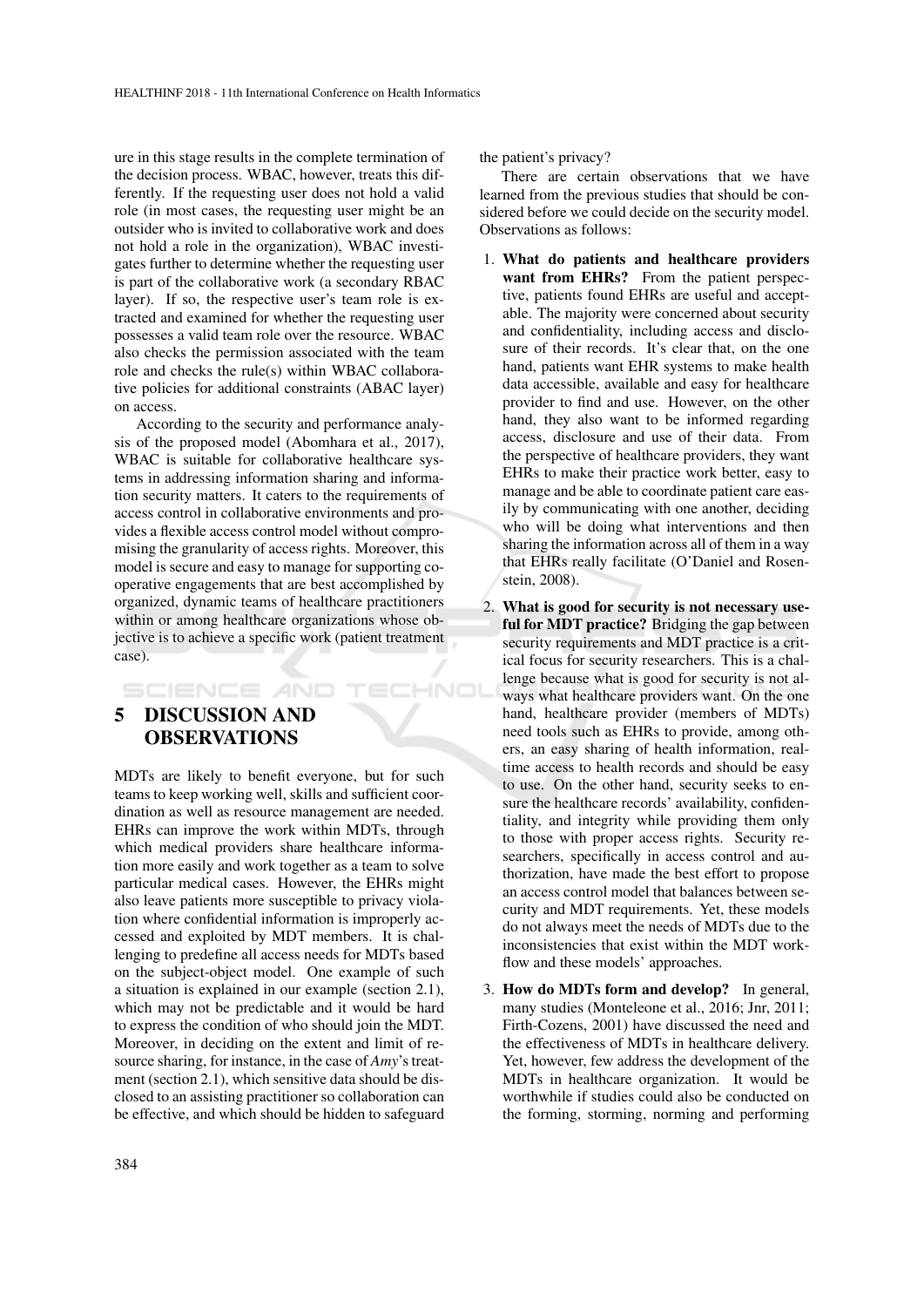ure in this stage results in the complete termination of the decision process. WBAC, however, treats this differently. If the requesting user does not hold a valid role (in most cases, the requesting user might be an outsider who is invited to collaborative work and does not hold a role in the organization), WBAC investigates further to determine whether the requesting user is part of the collaborative work (a secondary RBAC layer). If so, the respective user's team role is extracted and examined for whether the requesting user possesses a valid team role over the resource. WBAC also checks the permission associated with the team role and checks the rule(s) within WBAC collaborative policies for additional constraints (ABAC layer) on access.

According to the security and performance analysis of the proposed model (Abomhara et al., 2017), WBAC is suitable for collaborative healthcare systems in addressing information sharing and information security matters. It caters to the requirements of access control in collaborative environments and provides a flexible access control model without compromising the granularity of access rights. Moreover, this model is secure and easy to manage for supporting cooperative engagements that are best accomplished by organized, dynamic teams of healthcare practitioners within or among healthcare organizations whose objective is to achieve a specific work (patient treatment case).

HNO

# 5 DISCUSSION AND OBSERVATIONS

SCIENCE *A*ND

MDTs are likely to benefit everyone, but for such teams to keep working well, skills and sufficient coordination as well as resource management are needed. EHRs can improve the work within MDTs, through which medical providers share healthcare information more easily and work together as a team to solve particular medical cases. However, the EHRs might also leave patients more susceptible to privacy violation where confidential information is improperly accessed and exploited by MDT members. It is challenging to predefine all access needs for MDTs based on the subject-object model. One example of such a situation is explained in our example (section 2.1), which may not be predictable and it would be hard to express the condition of who should join the MDT. Moreover, in deciding on the extent and limit of resource sharing, for instance, in the case of *Amy*'s treatment (section 2.1), which sensitive data should be disclosed to an assisting practitioner so collaboration can be effective, and which should be hidden to safeguard

the patient's privacy?

There are certain observations that we have learned from the previous studies that should be considered before we could decide on the security model. Observations as follows:

- 1. What do patients and healthcare providers want from EHRs? From the patient perspective, patients found EHRs are useful and acceptable. The majority were concerned about security and confidentiality, including access and disclosure of their records. It's clear that, on the one hand, patients want EHR systems to make health data accessible, available and easy for healthcare provider to find and use. However, on the other hand, they also want to be informed regarding access, disclosure and use of their data. From the perspective of healthcare providers, they want EHRs to make their practice work better, easy to manage and be able to coordinate patient care easily by communicating with one another, deciding who will be doing what interventions and then sharing the information across all of them in a way that EHRs really facilitate (O'Daniel and Rosenstein, 2008).
- 2. What is good for security is not necessary useful for MDT practice? Bridging the gap between security requirements and MDT practice is a critical focus for security researchers. This is a challenge because what is good for security is not always what healthcare providers want. On the one hand, healthcare provider (members of MDTs) need tools such as EHRs to provide, among others, an easy sharing of health information, realtime access to health records and should be easy to use. On the other hand, security seeks to ensure the healthcare records' availability, confidentiality, and integrity while providing them only to those with proper access rights. Security researchers, specifically in access control and authorization, have made the best effort to propose an access control model that balances between security and MDT requirements. Yet, these models do not always meet the needs of MDTs due to the inconsistencies that exist within the MDT workflow and these models' approaches.
- 3. How do MDTs form and develop? In general, many studies (Monteleone et al., 2016; Jnr, 2011; Firth-Cozens, 2001) have discussed the need and the effectiveness of MDTs in healthcare delivery. Yet, however, few address the development of the MDTs in healthcare organization. It would be worthwhile if studies could also be conducted on the forming, storming, norming and performing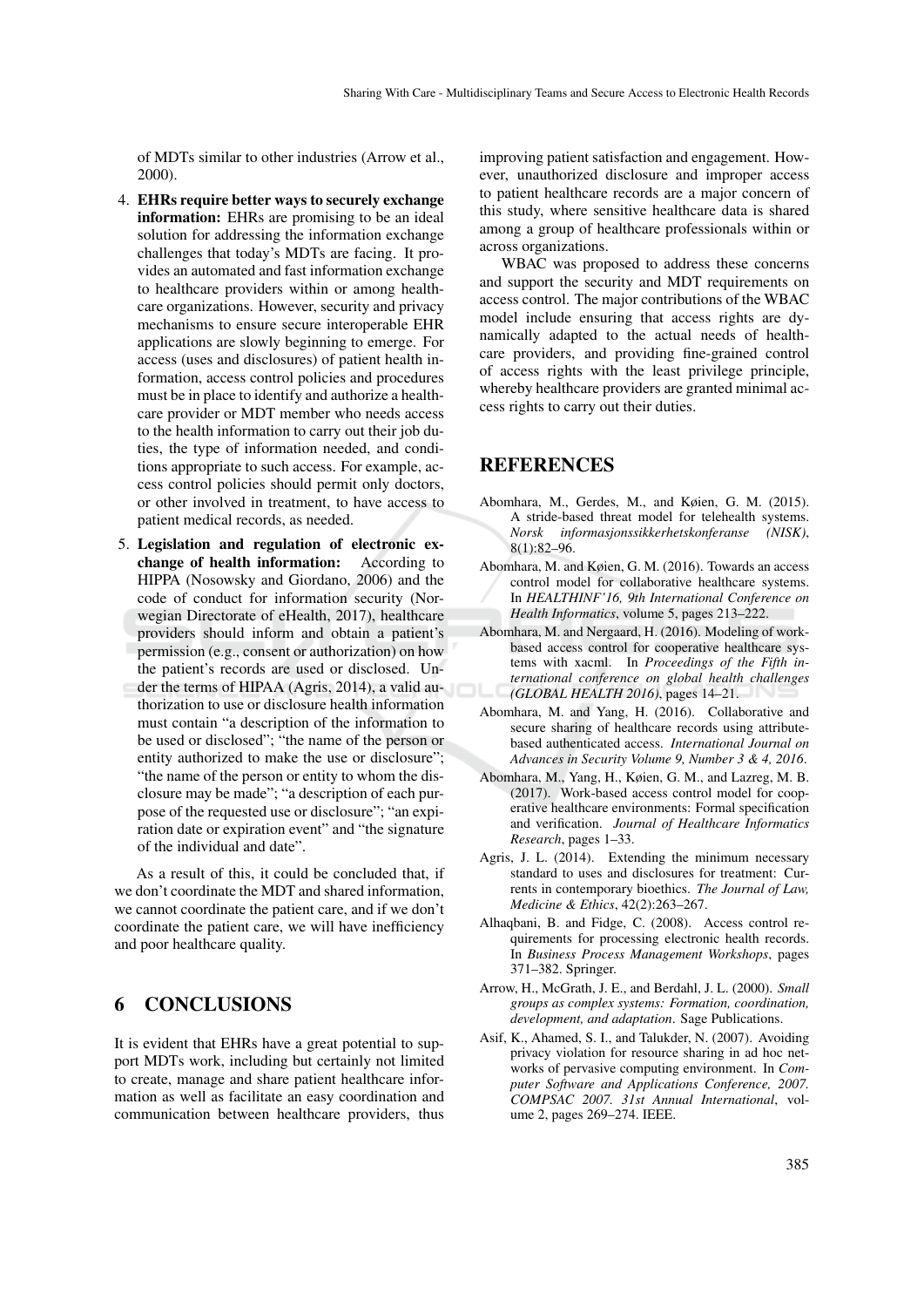of MDTs similar to other industries (Arrow et al., 2000).

- 4. EHRs require better ways to securely exchange information: EHRs are promising to be an ideal solution for addressing the information exchange challenges that today's MDTs are facing. It provides an automated and fast information exchange to healthcare providers within or among healthcare organizations. However, security and privacy mechanisms to ensure secure interoperable EHR applications are slowly beginning to emerge. For access (uses and disclosures) of patient health information, access control policies and procedures must be in place to identify and authorize a healthcare provider or MDT member who needs access to the health information to carry out their job duties, the type of information needed, and conditions appropriate to such access. For example, access control policies should permit only doctors, or other involved in treatment, to have access to patient medical records, as needed.
- 5. Legislation and regulation of electronic exchange of health information: According to HIPPA (Nosowsky and Giordano, 2006) and the code of conduct for information security (Norwegian Directorate of eHealth, 2017), healthcare providers should inform and obtain a patient's permission (e.g., consent or authorization) on how the patient's records are used or disclosed. Under the terms of HIPAA (Agris, 2014), a valid authorization to use or disclosure health information must contain "a description of the information to be used or disclosed"; "the name of the person or entity authorized to make the use or disclosure"; "the name of the person or entity to whom the disclosure may be made"; "a description of each purpose of the requested use or disclosure"; "an expiration date or expiration event" and "the signature of the individual and date".

As a result of this, it could be concluded that, if we don't coordinate the MDT and shared information, we cannot coordinate the patient care, and if we don't coordinate the patient care, we will have inefficiency and poor healthcare quality.

### 6 CONCLUSIONS

It is evident that EHRs have a great potential to support MDTs work, including but certainly not limited to create, manage and share patient healthcare information as well as facilitate an easy coordination and communication between healthcare providers, thus

improving patient satisfaction and engagement. However, unauthorized disclosure and improper access to patient healthcare records are a major concern of this study, where sensitive healthcare data is shared among a group of healthcare professionals within or across organizations.

WBAC was proposed to address these concerns and support the security and MDT requirements on access control. The major contributions of the WBAC model include ensuring that access rights are dynamically adapted to the actual needs of healthcare providers, and providing fine-grained control of access rights with the least privilege principle, whereby healthcare providers are granted minimal access rights to carry out their duties.

### REFERENCES

- Abomhara, M., Gerdes, M., and Køien, G. M. (2015). A stride-based threat model for telehealth systems. *Norsk informasjonssikkerhetskonferanse (NISK)*, 8(1):82–96.
- Abomhara, M. and Køien, G. M. (2016). Towards an access control model for collaborative healthcare systems. In *HEALTHINF'16, 9th International Conference on Health Informatics*, volume 5, pages 213–222.
- Abomhara, M. and Nergaard, H. (2016). Modeling of workbased access control for cooperative healthcare systems with xacml. In *Proceedings of the Fifth international conference on global health challenges (GLOBAL HEALTH 2016)*, pages 14–21.
- Abomhara, M. and Yang, H. (2016). Collaborative and secure sharing of healthcare records using attributebased authenticated access. *International Journal on Advances in Security Volume 9, Number 3 & 4, 2016*.
- Abomhara, M., Yang, H., Køien, G. M., and Lazreg, M. B. (2017). Work-based access control model for cooperative healthcare environments: Formal specification and verification. *Journal of Healthcare Informatics Research*, pages 1–33.
- Agris, J. L. (2014). Extending the minimum necessary standard to uses and disclosures for treatment: Currents in contemporary bioethics. *The Journal of Law, Medicine & Ethics*, 42(2):263–267.
- Alhaqbani, B. and Fidge, C. (2008). Access control requirements for processing electronic health records. In *Business Process Management Workshops*, pages 371–382. Springer.
- Arrow, H., McGrath, J. E., and Berdahl, J. L. (2000). *Small groups as complex systems: Formation, coordination, development, and adaptation*. Sage Publications.
- Asif, K., Ahamed, S. I., and Talukder, N. (2007). Avoiding privacy violation for resource sharing in ad hoc networks of pervasive computing environment. In *Computer Software and Applications Conference, 2007. COMPSAC 2007. 31st Annual International*, volume 2, pages 269–274. IEEE.